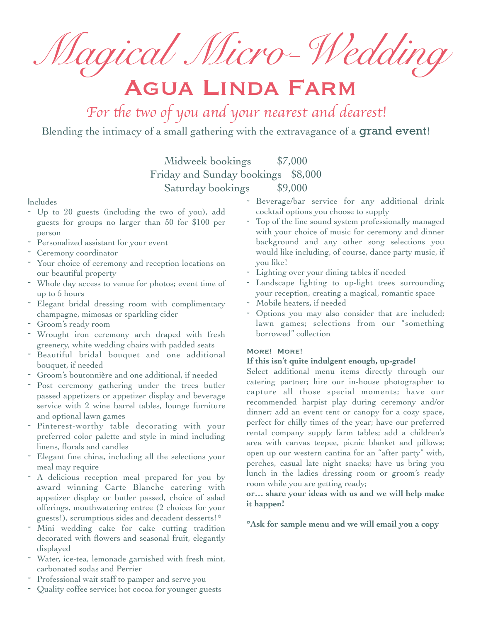*Magical Micro-Wedding*

# Agua Linda Farm

For the two of you and your nearest and dearest!

Blending the intimacy of a small gathering with the extravagance of a **grand event!** 

Midweek bookings \$7,000 Friday and Sunday bookings \$8,000 Saturday bookings \$9,000

#### Includes

- Up to 20 guests (including the two of you), add guests for groups no larger than 50 for \$100 per person
- Personalized assistant for your event
- Ceremony coordinator
- Your choice of ceremony and reception locations on our beautiful property
- Whole day access to venue for photos; event time of up to 5 hours
- Elegant bridal dressing room with complimentary champagne, mimosas or sparkling cider
- Groom's ready room
- Wrought iron ceremony arch draped with fresh greenery, white wedding chairs with padded seats
- Beautiful bridal bouquet and one additional bouquet, if needed
- Groom's boutonnière and one additional, if needed
- Post ceremony gathering under the trees butler passed appetizers or appetizer display and beverage service with 2 wine barrel tables, lounge furniture and optional lawn games
- Pinterest-worthy table decorating with your preferred color palette and style in mind including linens, florals and candles
- Elegant fine china, including all the selections your meal may require
- A delicious reception meal prepared for you by award winning Carte Blanche catering with appetizer display or butler passed, choice of salad offerings, mouthwatering entree (2 choices for your guests!), scrumptious sides and decadent desserts!\*
- Mini wedding cake for cake cutting tradition decorated with flowers and seasonal fruit, elegantly displayed
- Water, ice-tea, lemonade garnished with fresh mint, carbonated sodas and Perrier
- Professional wait staff to pamper and serve you
- Quality coffee service; hot cocoa for younger guests
- Beverage/bar service for any additional drink cocktail options you choose to supply
- Top of the line sound system professionally managed with your choice of music for ceremony and dinner background and any other song selections you would like including, of course, dance party music, if you like!
- Lighting over your dining tables if needed
- Landscape lighting to up-light trees surrounding your reception, creating a magical, romantic space
- Mobile heaters, if needed
- Options you may also consider that are included; lawn games; selections from our "something borrowed" collection

#### More! More!

#### **If this isn't quite indulgent enough, up-grade!**

Select additional menu items directly through our catering partner; hire our in-house photographer to capture all those special moments; have our recommended harpist play during ceremony and/or dinner; add an event tent or canopy for a cozy space, perfect for chilly times of the year; have our preferred rental company supply farm tables; add a children's area with canvas teepee, picnic blanket and pillows; open up our western cantina for an "after party" with, perches, casual late night snacks; have us bring you lunch in the ladies dressing room or groom's ready room while you are getting ready;

### **or… share your ideas with us and we will help make it happen!**

#### **\*Ask for sample menu and we will email you a copy**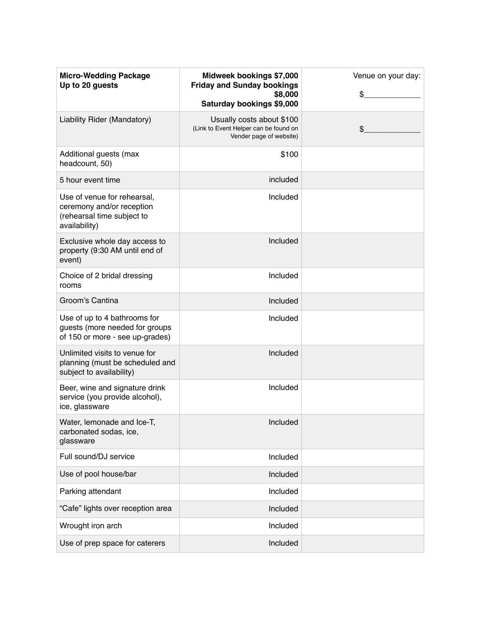| <b>Micro-Wedding Package</b><br>Up to 20 guests                                                         | Midweek bookings \$7,000<br><b>Friday and Sunday bookings</b><br>\$8,000<br>Saturday bookings \$9,000 | Venue on your day:<br>\$ |
|---------------------------------------------------------------------------------------------------------|-------------------------------------------------------------------------------------------------------|--------------------------|
| Liability Rider (Mandatory)                                                                             | Usually costs about \$100<br>(Link to Event Helper can be found on<br>Vender page of website)         | \$                       |
| Additional guests (max<br>headcount, 50)                                                                | \$100                                                                                                 |                          |
| 5 hour event time                                                                                       | included                                                                                              |                          |
| Use of venue for rehearsal,<br>ceremony and/or reception<br>(rehearsal time subject to<br>availability) | Included                                                                                              |                          |
| Exclusive whole day access to<br>property (9:30 AM until end of<br>event)                               | Included                                                                                              |                          |
| Choice of 2 bridal dressing<br>rooms                                                                    | Included                                                                                              |                          |
| Groom's Cantina                                                                                         | Included                                                                                              |                          |
| Use of up to 4 bathrooms for<br>guests (more needed for groups<br>of 150 or more - see up-grades)       | Included                                                                                              |                          |
| Unlimited visits to venue for<br>planning (must be scheduled and<br>subject to availability)            | Included                                                                                              |                          |
| Beer, wine and signature drink<br>service (you provide alcohol),<br>ice, glassware                      | Included                                                                                              |                          |
| Water, lemonade and Ice-T,<br>carbonated sodas, ice,<br>glassware                                       | Included                                                                                              |                          |
| Full sound/DJ service                                                                                   | Included                                                                                              |                          |
| Use of pool house/bar                                                                                   | Included                                                                                              |                          |
| Parking attendant                                                                                       | Included                                                                                              |                          |
| "Cafe" lights over reception area                                                                       | Included                                                                                              |                          |
| Wrought iron arch                                                                                       | Included                                                                                              |                          |
| Use of prep space for caterers                                                                          | Included                                                                                              |                          |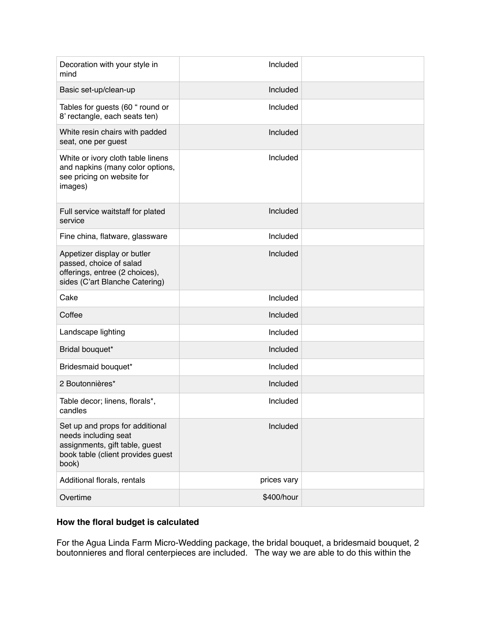| Decoration with your style in<br>mind                                                                                                   | Included    |  |
|-----------------------------------------------------------------------------------------------------------------------------------------|-------------|--|
| Basic set-up/clean-up                                                                                                                   | Included    |  |
| Tables for guests (60 " round or<br>8' rectangle, each seats ten)                                                                       | Included    |  |
| White resin chairs with padded<br>seat, one per guest                                                                                   | Included    |  |
| White or ivory cloth table linens<br>and napkins (many color options,<br>see pricing on website for<br>images)                          | Included    |  |
| Full service waitstaff for plated<br>service                                                                                            | Included    |  |
| Fine china, flatware, glassware                                                                                                         | Included    |  |
| Appetizer display or butler<br>passed, choice of salad<br>offerings, entree (2 choices),<br>sides (C'art Blanche Catering)              | Included    |  |
| Cake                                                                                                                                    | Included    |  |
| Coffee                                                                                                                                  | Included    |  |
| Landscape lighting                                                                                                                      | Included    |  |
| Bridal bouquet*                                                                                                                         | Included    |  |
| Bridesmaid bouquet*                                                                                                                     | Included    |  |
| 2 Boutonnières*                                                                                                                         | Included    |  |
| Table decor; linens, florals*,<br>candles                                                                                               | Included    |  |
| Set up and props for additional<br>needs including seat<br>assignments, gift table, guest<br>book table (client provides guest<br>book) | Included    |  |
| Additional florals, rentals                                                                                                             | prices vary |  |
| Overtime                                                                                                                                | \$400/hour  |  |

## **How the floral budget is calculated**

For the Agua Linda Farm Micro-Wedding package, the bridal bouquet, a bridesmaid bouquet, 2 boutonnieres and floral centerpieces are included. The way we are able to do this within the